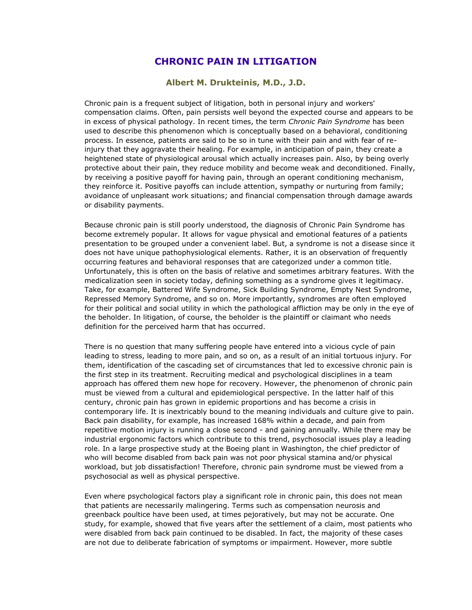## **CHRONIC PAIN IN LITIGATION**

## **Albert M. Drukteinis, M.D., J.D.**

Chronic pain is a frequent subject of litigation, both in personal injury and workers' compensation claims. Often, pain persists well beyond the expected course and appears to be in excess of physical pathology. In recent times, the term *Chronic Pain Syndrome* has been used to describe this phenomenon which is conceptually based on a behavioral, conditioning process. In essence, patients are said to be so in tune with their pain and with fear of reinjury that they aggravate their healing. For example, in anticipation of pain, they create a heightened state of physiological arousal which actually increases pain. Also, by being overly protective about their pain, they reduce mobility and become weak and deconditioned. Finally, by receiving a positive payoff for having pain, through an operant conditioning mechanism, they reinforce it. Positive payoffs can include attention, sympathy or nurturing from family; avoidance of unpleasant work situations; and financial compensation through damage awards or disability payments.

Because chronic pain is still poorly understood, the diagnosis of Chronic Pain Syndrome has become extremely popular. It allows for vague physical and emotional features of a patients presentation to be grouped under a convenient label. But, a syndrome is not a disease since it does not have unique pathophysiological elements. Rather, it is an observation of frequently occurring features and behavioral responses that are categorized under a common title. Unfortunately, this is often on the basis of relative and sometimes arbitrary features. With the medicalization seen in society today, defining something as a syndrome gives it legitimacy. Take, for example, Battered Wife Syndrome, Sick Building Syndrome, Empty Nest Syndrome, Repressed Memory Syndrome, and so on. More importantly, syndromes are often employed for their political and social utility in which the pathological affliction may be only in the eye of the beholder. In litigation, of course, the beholder is the plaintiff or claimant who needs definition for the perceived harm that has occurred.

There is no question that many suffering people have entered into a vicious cycle of pain leading to stress, leading to more pain, and so on, as a result of an initial tortuous injury. For them, identification of the cascading set of circumstances that led to excessive chronic pain is the first step in its treatment. Recruiting medical and psychological disciplines in a team approach has offered them new hope for recovery. However, the phenomenon of chronic pain must be viewed from a cultural and epidemiological perspective. In the latter half of this century, chronic pain has grown in epidemic proportions and has become a crisis in contemporary life. It is inextricably bound to the meaning individuals and culture give to pain. Back pain disability, for example, has increased 168% within a decade, and pain from repetitive motion injury is running a close second - and gaining annually. While there may be industrial ergonomic factors which contribute to this trend, psychosocial issues play a leading role. In a large prospective study at the Boeing plant in Washington, the chief predictor of who will become disabled from back pain was not poor physical stamina and/or physical workload, but job dissatisfaction! Therefore, chronic pain syndrome must be viewed from a psychosocial as well as physical perspective.

Even where psychological factors play a significant role in chronic pain, this does not mean that patients are necessarily malingering. Terms such as compensation neurosis and greenback poultice have been used, at times pejoratively, but may not be accurate. One study, for example, showed that five years after the settlement of a claim, most patients who were disabled from back pain continued to be disabled. In fact, the majority of these cases are not due to deliberate fabrication of symptoms or impairment. However, more subtle